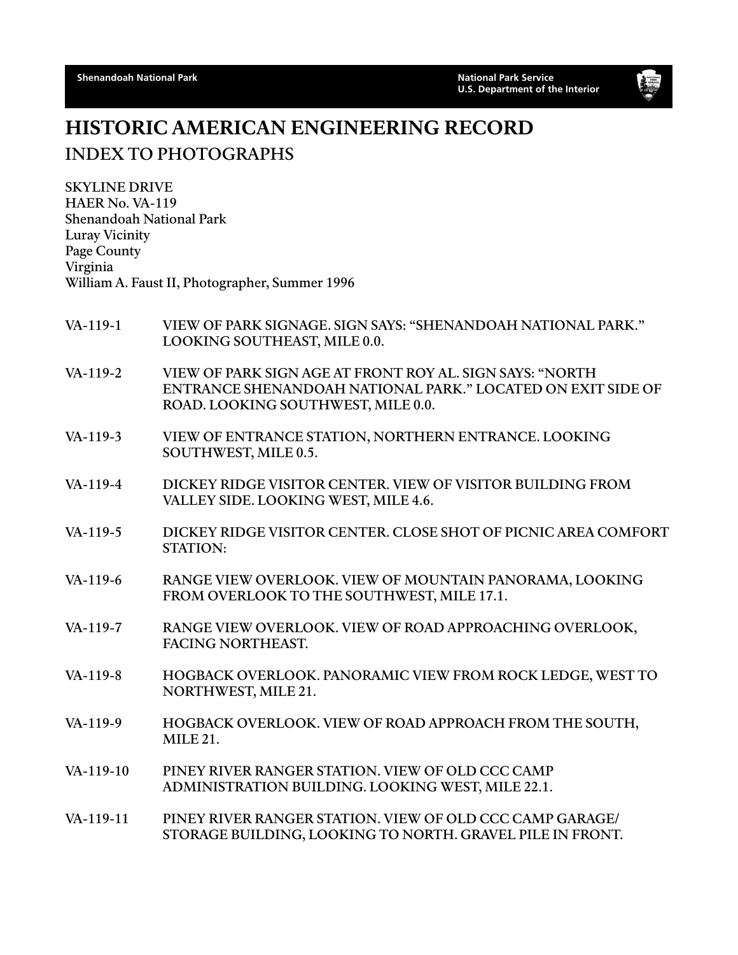

## HISTORIC AMERICAN ENGINEERING RECORD INDEX TO PHOTOGRAPHS

SKYLINE DRIVE HAER No. VA-119 Shenandoah National Park Luray Vicinity Page County Virginia William A. Faust II, Photographer, Summer 1996

- VA-119-1 VIEW OF PARK SIGNAGE. SIGN SAYS: "SHENANDOAH NATIONAL PARK." LOOKING SOUTHEAST, MILE 0.0.
- VA-119-2 VIEW OF PARK SIGN AGE AT FRONT ROY AL. SIGN SAYS: "NORTH ENTRANCE SHENANDOAH NATIONAL PARK." LOCATED ON EXIT SIDE OF ROAD. LOOKING SOUTHWEST, MILE 0.0.
- VA-119-3 VIEW OF ENTRANCE STATION, NORTHERN ENTRANCE. LOOKING SOUTHWEST, MILE 0.5.
- VA-119-4 DICKEY RIDGE VISITOR CENTER. VIEW OF VISITOR BUILDING FROM VALLEY SIDE. LOOKING WEST, MILE 4.6.
- VA-119-5 DICKEY RIDGE VISITOR CENTER. CLOSE SHOT OF PICNIC AREA COMFORT STATION:
- VA-119-6 RANGE VIEW OVERLOOK. VIEW OF MOUNTAIN PANORAMA, LOOKING FROM OVERLOOK TO THE SOUTHWEST, MILE 17.1.
- VA-119-7 RANGE VIEW OVERLOOK. VIEW OF ROAD APPROACHING OVERLOOK, FACING NORTHEAST.
- VA-119-8 HOGBACK OVERLOOK. PANORAMIC VIEW FROM ROCK LEDGE, WEST TO NORTHWEST, MILE 21.
- VA-119-9 HOGBACK OVERLOOK. VIEW OF ROAD APPROACH FROM THE SOUTH, MILE 21.
- VA-119-10 PINEY RIVER RANGER STATION. VIEW OF OLD CCC CAMP ADMINISTRATION BUILDING. LOOKING WEST, MILE 22.1.
- VA-119-11 PINEY RIVER RANGER STATION. VIEW OF OLD CCC CAMP GARAGE/ STORAGE BUILDING, LOOKING TO NORTH. GRAVEL PILE IN FRONT.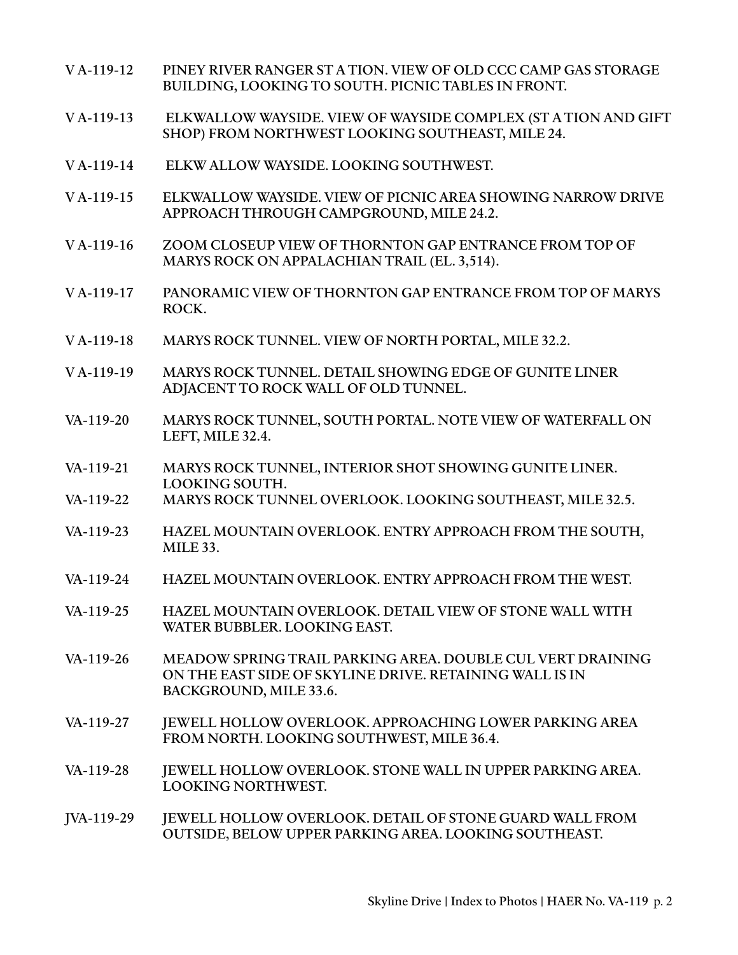- V A-119-12 PINEY RIVER RANGER ST A TION. VIEW OF OLD CCC CAMP GAS STORAGE BUILDING, LOOKING TO SOUTH. PICNIC TABLES IN FRONT.
- V A-119-13 ELKWALLOW WAYSIDE. VIEW OF WAYSIDE COMPLEX (ST A TION AND GIFT SHOP) FROM NORTHWEST LOOKING SOUTHEAST, MILE 24.
- V A-119-14 ELKW ALLOW WAYSIDE. LOOKING SOUTHWEST.
- V A-119-15 ELKWALLOW WAYSIDE. VIEW OF PICNIC AREA SHOWING NARROW DRIVE APPROACH THROUGH CAMPGROUND, MILE 24.2.
- V A-119-16 ZOOM CLOSEUP VIEW OF THORNTON GAP ENTRANCE FROM TOP OF MARYS ROCK ON APPALACHIAN TRAIL (EL. 3,514).
- V A-119-17 PANORAMIC VIEW OF THORNTON GAP ENTRANCE FROM TOP OF MARYS ROCK.
- V A-119-18 MARYS ROCK TUNNEL. VIEW OF NORTH PORTAL, MILE 32.2.
- V A-119-19 MARYS ROCK TUNNEL. DETAIL SHOWING EDGE OF GUNITE LINER ADJACENT TO ROCK WALL OF OLD TUNNEL.
- VA-119-20 MARYS ROCK TUNNEL, SOUTH PORTAL. NOTE VIEW OF WATERFALL ON LEFT, MILE 32.4.
- VA-119-21 MARYS ROCK TUNNEL, INTERIOR SHOT SHOWING GUNITE LINER. LOOKING SOUTH.
- VA-119-22 MARYS ROCK TUNNEL OVERLOOK. LOOKING SOUTHEAST, MILE 32.5.
- VA-119-23 HAZEL MOUNTAIN OVERLOOK. ENTRY APPROACH FROM THE SOUTH, MILE 33.
- VA-119-24 HAZEL MOUNTAIN OVERLOOK. ENTRY APPROACH FROM THE WEST.
- VA-119-25 HAZEL MOUNTAIN OVERLOOK. DETAIL VIEW OF STONE WALL WITH WATER BUBBLER. LOOKING EAST.
- VA-119-26 MEADOW SPRING TRAIL PARKING AREA. DOUBLE CUL VERT DRAINING ON THE EAST SIDE OF SKYLINE DRIVE. RETAINING WALL IS IN BACKGROUND, MILE 33.6.
- VA-119-27 JEWELL HOLLOW OVERLOOK. APPROACHING LOWER PARKING AREA FROM NORTH. LOOKING SOUTHWEST, MILE 36.4.
- VA-119-28 JEWELL HOLLOW OVERLOOK. STONE WALL IN UPPER PARKING AREA. LOOKING NORTHWEST.
- JVA-119-29 JEWELL HOLLOW OVERLOOK. DETAIL OF STONE GUARD WALL FROM OUTSIDE, BELOW UPPER PARKING AREA. LOOKING SOUTHEAST.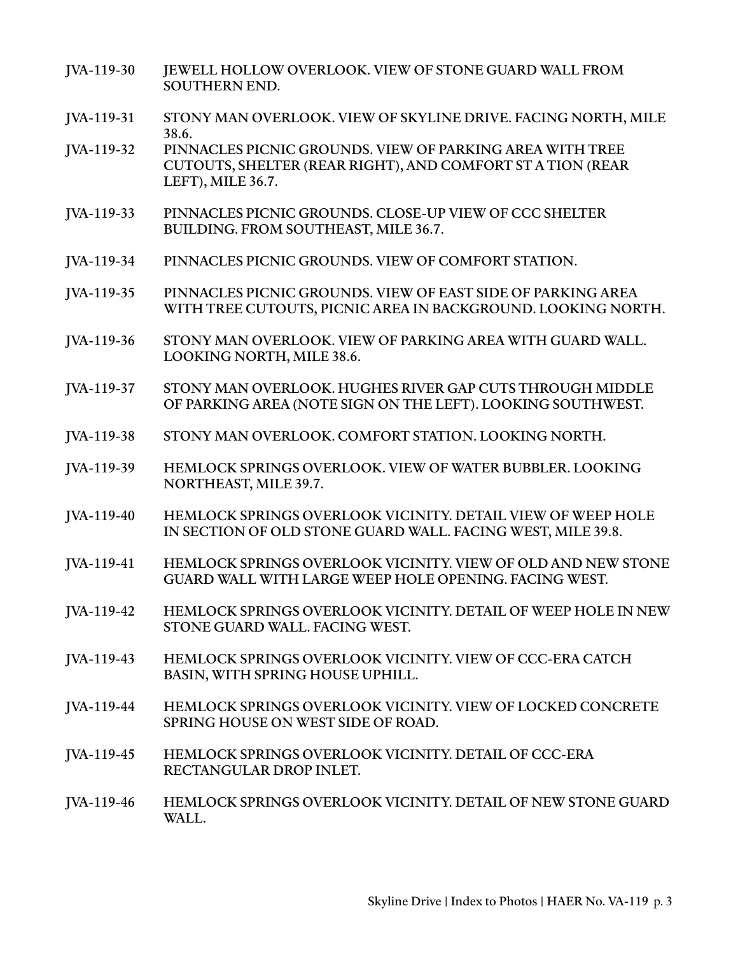- JVA-119-30 JEWELL HOLLOW OVERLOOK. VIEW OF STONE GUARD WALL FROM SOUTHERN END.
- JVA-119-31 STONY MAN OVERLOOK. VIEW OF SKYLINE DRIVE. FACING NORTH, MILE 38.6.
- JVA-119-32 PINNACLES PICNIC GROUNDS. VIEW OF PARKING AREA WITH TREE CUTOUTS, SHELTER (REAR RIGHT), AND COMFORT ST A TION (REAR LEFT), MILE 36.7.
- JVA-119-33 PINNACLES PICNIC GROUNDS. CLOSE-UP VIEW OF CCC SHELTER BUILDING. FROM SOUTHEAST, MILE 36.7.
- JVA-119-34 PINNACLES PICNIC GROUNDS. VIEW OF COMFORT STATION.
- JVA-119-35 PINNACLES PICNIC GROUNDS. VIEW OF EAST SIDE OF PARKING AREA WITH TREE CUTOUTS, PICNIC AREA IN BACKGROUND. LOOKING NORTH.
- JVA-119-36 STONY MAN OVERLOOK. VIEW OF PARKING AREA WITH GUARD WALL. LOOKING NORTH, MILE 38.6.
- JVA-119-37 STONY MAN OVERLOOK. HUGHES RIVER GAP CUTS THROUGH MIDDLE OF PARKING AREA (NOTE SIGN ON THE LEFT). LOOKING SOUTHWEST.
- JVA-119-38 STONY MAN OVERLOOK. COMFORT STATION. LOOKING NORTH.
- JVA-119-39 HEMLOCK SPRINGS OVERLOOK. VIEW OF WATER BUBBLER. LOOKING NORTHEAST, MILE 39.7.
- JVA-119-40 HEMLOCK SPRINGS OVERLOOK VICINITY. DETAIL VIEW OF WEEP HOLE IN SECTION OF OLD STONE GUARD WALL. FACING WEST, MILE 39.8.
- JVA-119-41 HEMLOCK SPRINGS OVERLOOK VICINITY. VIEW OF OLD AND NEW STONE GUARD WALL WITH LARGE WEEP HOLE OPENING. FACING WEST.
- JVA-119-42 HEMLOCK SPRINGS OVERLOOK VICINITY. DETAIL OF WEEP HOLE IN NEW STONE GUARD WALL. FACING WEST.
- JVA-119-43 HEMLOCK SPRINGS OVERLOOK VICINITY. VIEW OF CCC-ERA CATCH BASIN, WITH SPRING HOUSE UPHILL.
- JVA-119-44 HEMLOCK SPRINGS OVERLOOK VICINITY. VIEW OF LOCKED CONCRETE SPRING HOUSE ON WEST SIDE OF ROAD.
- JVA-119-45 HEMLOCK SPRINGS OVERLOOK VICINITY. DETAIL OF CCC-ERA RECTANGULAR DROP INLET.
- JVA-119-46 HEMLOCK SPRINGS OVERLOOK VICINITY. DETAIL OF NEW STONE GUARD WALL.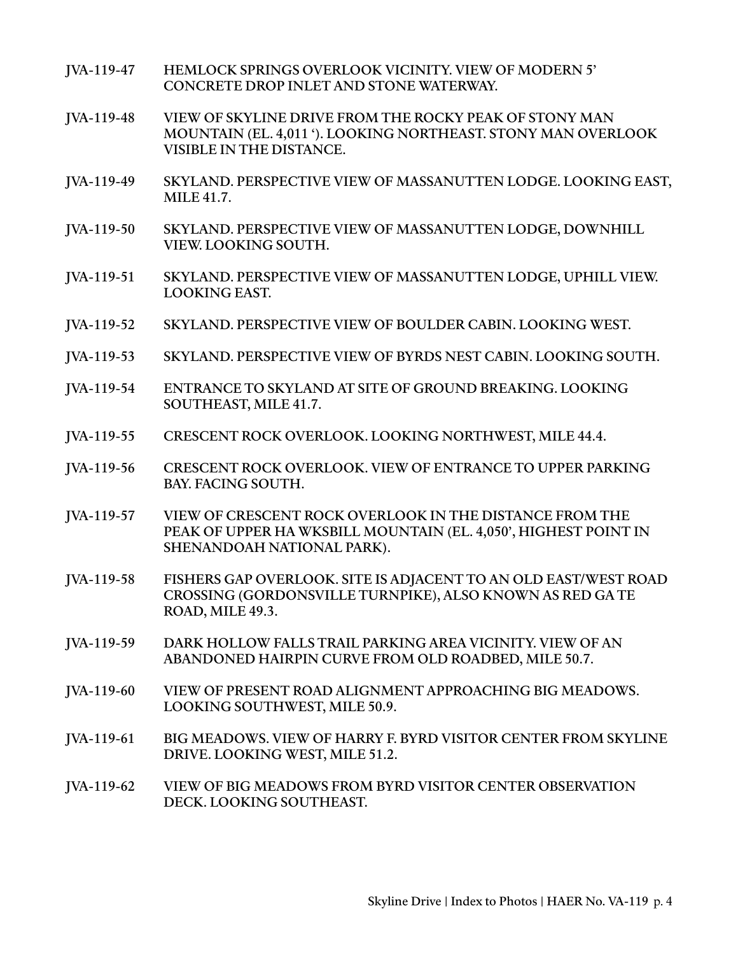| JVA-119-47 | <b>HEMLOCK SPRINGS OVERLOOK VICINITY. VIEW OF MODERN 5'</b><br>CONCRETE DROP INLET AND STONE WATERWAY.                                                   |
|------------|----------------------------------------------------------------------------------------------------------------------------------------------------------|
| JVA-119-48 | VIEW OF SKYLINE DRIVE FROM THE ROCKY PEAK OF STONY MAN<br>MOUNTAIN (EL. 4,011 '). LOOKING NORTHEAST. STONY MAN OVERLOOK<br>VISIBLE IN THE DISTANCE.      |
| JVA-119-49 | SKYLAND. PERSPECTIVE VIEW OF MASSANUTTEN LODGE. LOOKING EAST,<br><b>MILE 41.7.</b>                                                                       |
| JVA-119-50 | SKYLAND. PERSPECTIVE VIEW OF MASSANUTTEN LODGE, DOWNHILL<br>VIEW. LOOKING SOUTH.                                                                         |
| JVA-119-51 | SKYLAND. PERSPECTIVE VIEW OF MASSANUTTEN LODGE, UPHILL VIEW.<br><b>LOOKING EAST.</b>                                                                     |
| JVA-119-52 | SKYLAND. PERSPECTIVE VIEW OF BOULDER CABIN. LOOKING WEST.                                                                                                |
| JVA-119-53 | SKYLAND. PERSPECTIVE VIEW OF BYRDS NEST CABIN. LOOKING SOUTH.                                                                                            |
| JVA-119-54 | ENTRANCE TO SKYLAND AT SITE OF GROUND BREAKING. LOOKING<br>SOUTHEAST, MILE 41.7.                                                                         |
| JVA-119-55 | CRESCENT ROCK OVERLOOK. LOOKING NORTHWEST, MILE 44.4.                                                                                                    |
| JVA-119-56 | CRESCENT ROCK OVERLOOK. VIEW OF ENTRANCE TO UPPER PARKING<br><b>BAY. FACING SOUTH.</b>                                                                   |
| JVA-119-57 | VIEW OF CRESCENT ROCK OVERLOOK IN THE DISTANCE FROM THE<br>PEAK OF UPPER HA WKSBILL MOUNTAIN (EL. 4,050', HIGHEST POINT IN<br>SHENANDOAH NATIONAL PARK). |
| JVA-119-58 | FISHERS GAP OVERLOOK. SITE IS ADJACENT TO AN OLD EAST/WEST ROAD<br>CROSSING (GORDONSVILLE TURNPIKE), ALSO KNOWN AS RED GA TE<br>ROAD, MILE 49.3.         |
| JVA-119-59 | DARK HOLLOW FALLS TRAIL PARKING AREA VICINITY. VIEW OF AN<br>ABANDONED HAIRPIN CURVE FROM OLD ROADBED, MILE 50.7.                                        |
| JVA-119-60 | VIEW OF PRESENT ROAD ALIGNMENT APPROACHING BIG MEADOWS.<br>LOOKING SOUTHWEST, MILE 50.9.                                                                 |
| JVA-119-61 | BIG MEADOWS. VIEW OF HARRY F. BYRD VISITOR CENTER FROM SKYLINE<br>DRIVE. LOOKING WEST, MILE 51.2.                                                        |
| JVA-119-62 | VIEW OF BIG MEADOWS FROM BYRD VISITOR CENTER OBSERVATION<br>DECK. LOOKING SOUTHEAST.                                                                     |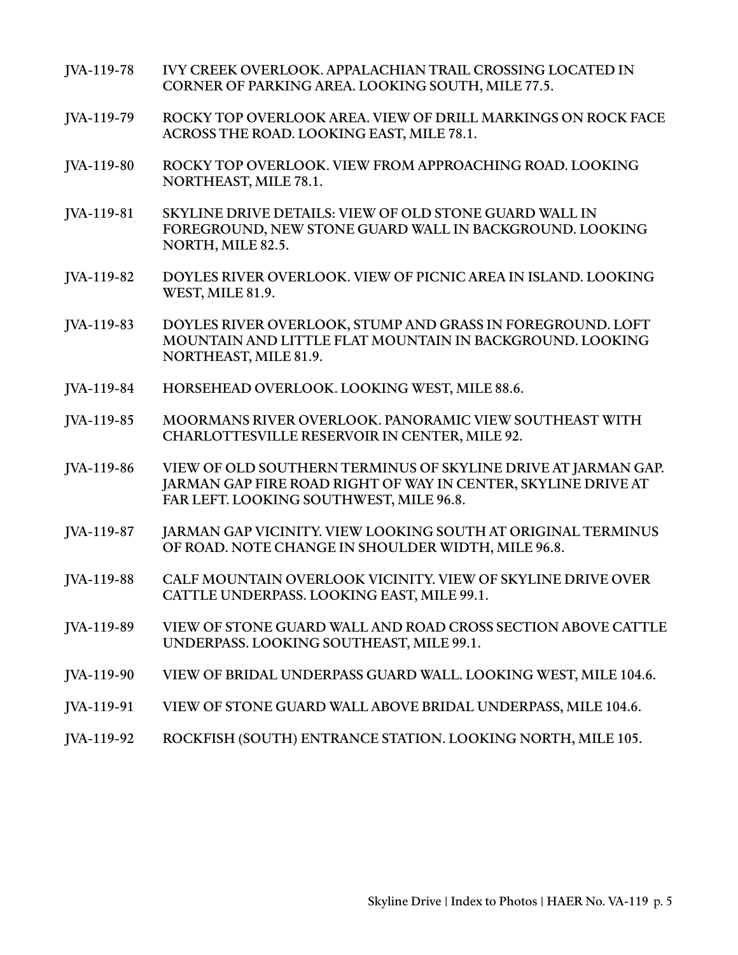- JVA-119-78 IVY CREEK OVERLOOK. APPALACHIAN TRAIL CROSSING LOCATED IN CORNER OF PARKING AREA. LOOKING SOUTH, MILE 77.5.
- JVA-119-79 ROCKY TOP OVERLOOK AREA. VIEW OF DRILL MARKINGS ON ROCK FACE ACROSS THE ROAD. LOOKING EAST, MILE 78.1.
- JVA-119-80 ROCKY TOP OVERLOOK. VIEW FROM APPROACHING ROAD. LOOKING NORTHEAST, MILE 78.1.
- JVA-119-81 SKYLINE DRIVE DETAILS: VIEW OF OLD STONE GUARD WALL IN FOREGROUND, NEW STONE GUARD WALL IN BACKGROUND. LOOKING NORTH, MILE 82.5.
- JVA-119-82 DOYLES RIVER OVERLOOK. VIEW OF PICNIC AREA IN ISLAND. LOOKING WEST, MILE 81.9.
- JVA-119-83 DOYLES RIVER OVERLOOK, STUMP AND GRASS IN FOREGROUND. LOFT MOUNTAIN AND LITTLE FLAT MOUNTAIN IN BACKGROUND. LOOKING NORTHEAST, MILE 81.9.
- JVA-119-84 HORSEHEAD OVERLOOK. LOOKING WEST, MILE 88.6.
- JVA-119-85 MOORMANS RIVER OVERLOOK. PANORAMIC VIEW SOUTHEAST WITH CHARLOTTESVILLE RESERVOIR IN CENTER, MILE 92.
- JVA-119-86 VIEW OF OLD SOUTHERN TERMINUS OF SKYLINE DRIVE AT JARMAN GAP. JARMAN GAP FIRE ROAD RIGHT OF WAY IN CENTER, SKYLINE DRIVE AT FAR LEFT. LOOKING SOUTHWEST, MILE 96.8.
- JVA-119-87 JARMAN GAP VICINITY. VIEW LOOKING SOUTH AT ORIGINAL TERMINUS OF ROAD. NOTE CHANGE IN SHOULDER WIDTH, MILE 96.8.
- JVA-119-88 CALF MOUNTAIN OVERLOOK VICINITY. VIEW OF SKYLINE DRIVE OVER CATTLE UNDERPASS. LOOKING EAST, MILE 99.1.
- JVA-119-89 VIEW OF STONE GUARD WALL AND ROAD CROSS SECTION ABOVE CATTLE UNDERPASS. LOOKING SOUTHEAST, MILE 99.1.
- JVA-119-90 VIEW OF BRIDAL UNDERPASS GUARD WALL. LOOKING WEST, MILE 104.6.
- JVA-119-91 VIEW OF STONE GUARD WALL ABOVE BRIDAL UNDERPASS, MILE 104.6.
- JVA-119-92 ROCKFISH (SOUTH) ENTRANCE STATION. LOOKING NORTH, MILE 105.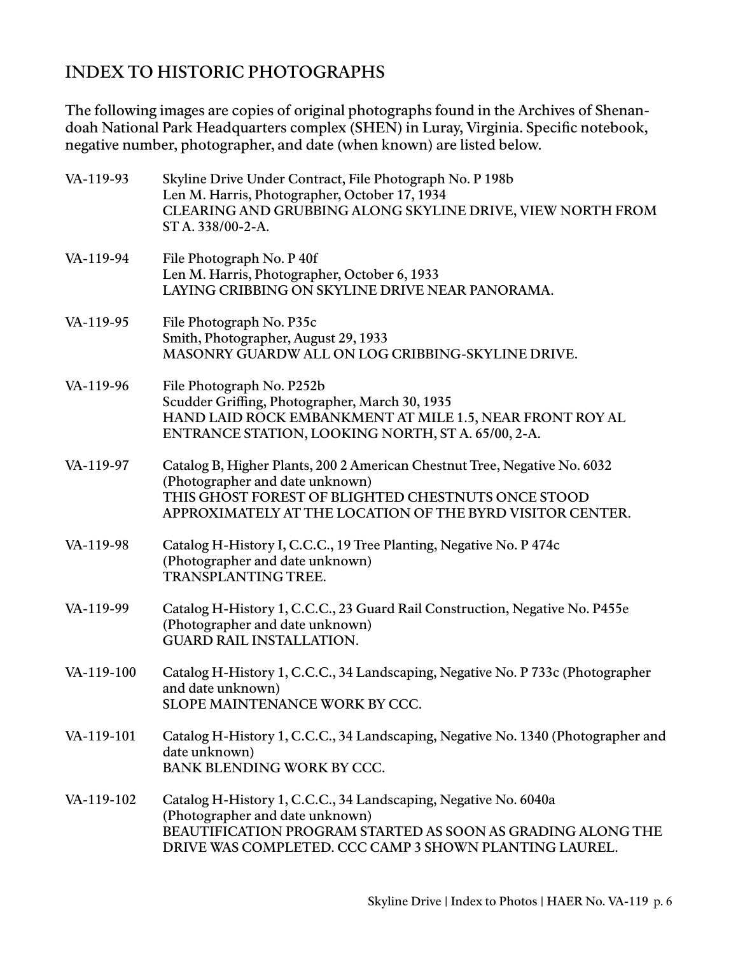## INDEX TO HISTORIC PHOTOGRAPHS

The following images are copies of original photographs found in the Archives of Shenandoah National Park Headquarters complex (SHEN) in Luray, Virginia. Specific notebook, negative number, photographer, and date (when known) are listed below.

| VA-119-93  | Skyline Drive Under Contract, File Photograph No. P 198b<br>Len M. Harris, Photographer, October 17, 1934<br>CLEARING AND GRUBBING ALONG SKYLINE DRIVE, VIEW NORTH FROM<br>ST A. 338/00-2-A.                                    |
|------------|---------------------------------------------------------------------------------------------------------------------------------------------------------------------------------------------------------------------------------|
| VA-119-94  | File Photograph No. P 40f<br>Len M. Harris, Photographer, October 6, 1933<br>LAYING CRIBBING ON SKYLINE DRIVE NEAR PANORAMA.                                                                                                    |
| VA-119-95  | File Photograph No. P35c<br>Smith, Photographer, August 29, 1933<br>MASONRY GUARDW ALL ON LOG CRIBBING-SKYLINE DRIVE.                                                                                                           |
| VA-119-96  | File Photograph No. P252b<br>Scudder Griffing, Photographer, March 30, 1935<br>HAND LAID ROCK EMBANKMENT AT MILE 1.5, NEAR FRONT ROY AL<br>ENTRANCE STATION, LOOKING NORTH, ST A. 65/00, 2-A.                                   |
| VA-119-97  | Catalog B, Higher Plants, 200 2 American Chestnut Tree, Negative No. 6032<br>(Photographer and date unknown)<br>THIS GHOST FOREST OF BLIGHTED CHESTNUTS ONCE STOOD<br>APPROXIMATELY AT THE LOCATION OF THE BYRD VISITOR CENTER. |
| VA-119-98  | Catalog H-History I, C.C.C., 19 Tree Planting, Negative No. P 474c<br>(Photographer and date unknown)<br><b>TRANSPLANTING TREE.</b>                                                                                             |
| VA-119-99  | Catalog H-History 1, C.C.C., 23 Guard Rail Construction, Negative No. P455e<br>(Photographer and date unknown)<br><b>GUARD RAIL INSTALLATION.</b>                                                                               |
| VA-119-100 | Catalog H-History 1, C.C.C., 34 Landscaping, Negative No. P 733c (Photographer<br>and date unknown)<br>SLOPE MAINTENANCE WORK BY CCC.                                                                                           |
| VA-119-101 | Catalog H-History 1, C.C.C., 34 Landscaping, Negative No. 1340 (Photographer and<br>date unknown)<br><b>BANK BLENDING WORK BY CCC.</b>                                                                                          |
| VA-119-102 | Catalog H-History 1, C.C.C., 34 Landscaping, Negative No. 6040a<br>(Photographer and date unknown)<br>BEAUTIFICATION PROGRAM STARTED AS SOON AS GRADING ALONG THE<br>DRIVE WAS COMPLETED. CCC CAMP 3 SHOWN PLANTING LAUREL.     |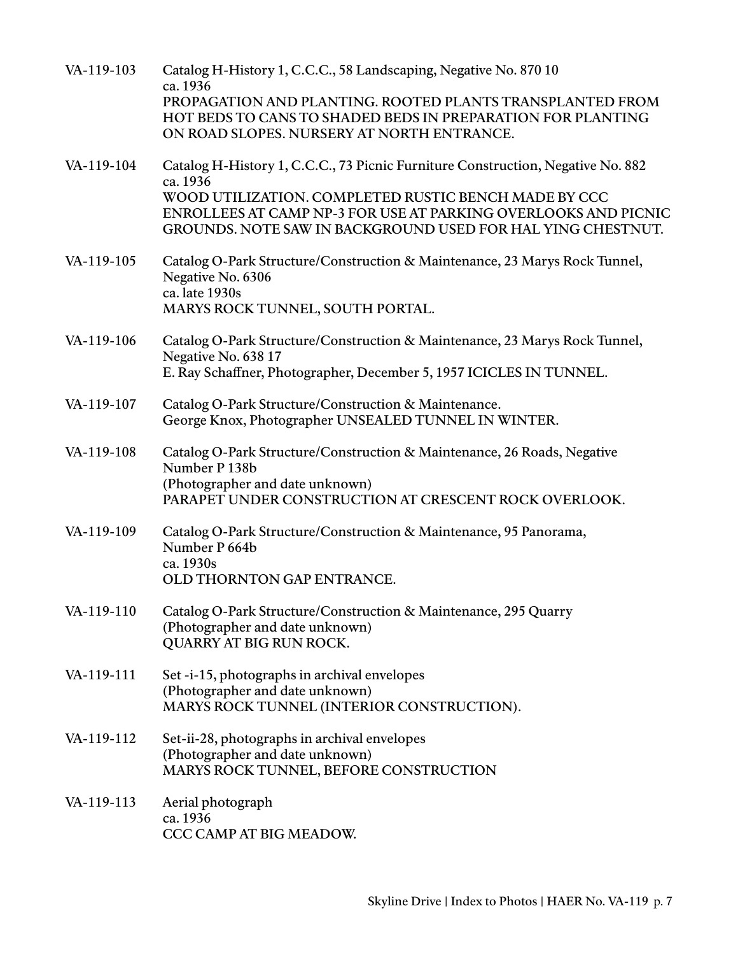| VA-119-103 | Catalog H-History 1, C.C.C., 58 Landscaping, Negative No. 870 10<br>ca. 1936                                                                                                                 |
|------------|----------------------------------------------------------------------------------------------------------------------------------------------------------------------------------------------|
|            | PROPAGATION AND PLANTING. ROOTED PLANTS TRANSPLANTED FROM<br>HOT BEDS TO CANS TO SHADED BEDS IN PREPARATION FOR PLANTING<br>ON ROAD SLOPES. NURSERY AT NORTH ENTRANCE.                       |
| VA-119-104 | Catalog H-History 1, C.C.C., 73 Picnic Furniture Construction, Negative No. 882<br>ca. 1936                                                                                                  |
|            | WOOD UTILIZATION. COMPLETED RUSTIC BENCH MADE BY CCC<br><b>ENROLLEES AT CAMP NP-3 FOR USE AT PARKING OVERLOOKS AND PICNIC</b><br>GROUNDS. NOTE SAW IN BACKGROUND USED FOR HAL YING CHESTNUT. |
| VA-119-105 | Catalog O-Park Structure/Construction & Maintenance, 23 Marys Rock Tunnel,<br>Negative No. 6306<br>ca. late 1930s                                                                            |
|            | MARYS ROCK TUNNEL, SOUTH PORTAL.                                                                                                                                                             |
| VA-119-106 | Catalog O-Park Structure/Construction & Maintenance, 23 Marys Rock Tunnel,<br>Negative No. 638 17                                                                                            |
|            | E. Ray Schaffner, Photographer, December 5, 1957 ICICLES IN TUNNEL.                                                                                                                          |
| VA-119-107 | Catalog O-Park Structure/Construction & Maintenance.<br>George Knox, Photographer UNSEALED TUNNEL IN WINTER.                                                                                 |
| VA-119-108 | Catalog O-Park Structure/Construction & Maintenance, 26 Roads, Negative<br>Number P 138b                                                                                                     |
|            | (Photographer and date unknown)<br>PARAPET UNDER CONSTRUCTION AT CRESCENT ROCK OVERLOOK.                                                                                                     |
| VA-119-109 | Catalog O-Park Structure/Construction & Maintenance, 95 Panorama,<br>Number P 664b<br>ca. 1930s                                                                                              |
|            | OLD THORNTON GAP ENTRANCE.                                                                                                                                                                   |
| VA-119-110 | Catalog O-Park Structure/Construction & Maintenance, 295 Quarry<br>(Photographer and date unknown)<br>QUARRY AT BIG RUN ROCK.                                                                |
| VA-119-111 | Set-i-15, photographs in archival envelopes<br>(Photographer and date unknown)<br>MARYS ROCK TUNNEL (INTERIOR CONSTRUCTION).                                                                 |
| VA-119-112 | Set-ii-28, photographs in archival envelopes<br>(Photographer and date unknown)<br>MARYS ROCK TUNNEL, BEFORE CONSTRUCTION                                                                    |
| VA-119-113 | Aerial photograph<br>ca. 1936                                                                                                                                                                |
|            | CCC CAMP AT BIG MEADOW.                                                                                                                                                                      |